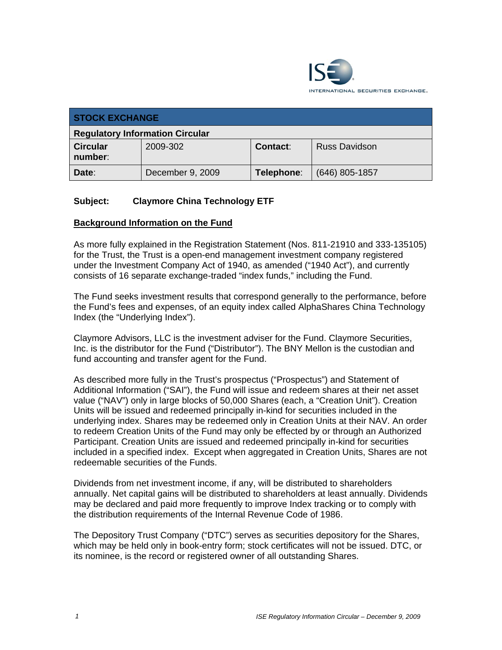

| <b>STOCK EXCHANGE</b>                  |                  |            |                      |  |
|----------------------------------------|------------------|------------|----------------------|--|
| <b>Regulatory Information Circular</b> |                  |            |                      |  |
| <b>Circular</b><br>number:             | 2009-302         | Contact:   | <b>Russ Davidson</b> |  |
| Date:                                  | December 9, 2009 | Telephone: | $(646)$ 805-1857     |  |

# **Subject: Claymore China Technology ETF**

## **Background Information on the Fund**

As more fully explained in the Registration Statement (Nos. 811-21910 and 333-135105) for the Trust, the Trust is a open-end management investment company registered under the Investment Company Act of 1940, as amended ("1940 Act"), and currently consists of 16 separate exchange-traded "index funds," including the Fund.

The Fund seeks investment results that correspond generally to the performance, before the Fund's fees and expenses, of an equity index called AlphaShares China Technology Index (the "Underlying Index").

Claymore Advisors, LLC is the investment adviser for the Fund. Claymore Securities, Inc. is the distributor for the Fund ("Distributor"). The BNY Mellon is the custodian and fund accounting and transfer agent for the Fund.

As described more fully in the Trust's prospectus ("Prospectus") and Statement of Additional Information ("SAI"), the Fund will issue and redeem shares at their net asset value ("NAV") only in large blocks of 50,000 Shares (each, a "Creation Unit"). Creation Units will be issued and redeemed principally in-kind for securities included in the underlying index. Shares may be redeemed only in Creation Units at their NAV. An order to redeem Creation Units of the Fund may only be effected by or through an Authorized Participant. Creation Units are issued and redeemed principally in-kind for securities included in a specified index. Except when aggregated in Creation Units, Shares are not redeemable securities of the Funds.

Dividends from net investment income, if any, will be distributed to shareholders annually. Net capital gains will be distributed to shareholders at least annually. Dividends may be declared and paid more frequently to improve Index tracking or to comply with the distribution requirements of the Internal Revenue Code of 1986.

The Depository Trust Company ("DTC") serves as securities depository for the Shares, which may be held only in book-entry form; stock certificates will not be issued. DTC, or its nominee, is the record or registered owner of all outstanding Shares.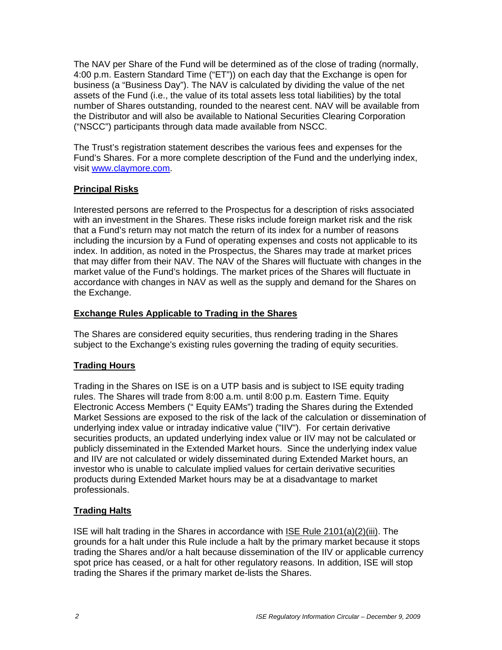The NAV per Share of the Fund will be determined as of the close of trading (normally, 4:00 p.m. Eastern Standard Time ("ET")) on each day that the Exchange is open for business (a "Business Day"). The NAV is calculated by dividing the value of the net assets of the Fund (i.e., the value of its total assets less total liabilities) by the total number of Shares outstanding, rounded to the nearest cent. NAV will be available from the Distributor and will also be available to National Securities Clearing Corporation ("NSCC") participants through data made available from NSCC.

The Trust's registration statement describes the various fees and expenses for the Fund's Shares. For a more complete description of the Fund and the underlying index, visit www.claymore.com.

# **Principal Risks**

Interested persons are referred to the Prospectus for a description of risks associated with an investment in the Shares. These risks include foreign market risk and the risk that a Fund's return may not match the return of its index for a number of reasons including the incursion by a Fund of operating expenses and costs not applicable to its index. In addition, as noted in the Prospectus, the Shares may trade at market prices that may differ from their NAV. The NAV of the Shares will fluctuate with changes in the market value of the Fund's holdings. The market prices of the Shares will fluctuate in accordance with changes in NAV as well as the supply and demand for the Shares on the Exchange.

# **Exchange Rules Applicable to Trading in the Shares**

The Shares are considered equity securities, thus rendering trading in the Shares subject to the Exchange's existing rules governing the trading of equity securities.

# **Trading Hours**

Trading in the Shares on ISE is on a UTP basis and is subject to ISE equity trading rules. The Shares will trade from 8:00 a.m. until 8:00 p.m. Eastern Time. Equity Electronic Access Members (" Equity EAMs") trading the Shares during the Extended Market Sessions are exposed to the risk of the lack of the calculation or dissemination of underlying index value or intraday indicative value ("IIV"). For certain derivative securities products, an updated underlying index value or IIV may not be calculated or publicly disseminated in the Extended Market hours. Since the underlying index value and IIV are not calculated or widely disseminated during Extended Market hours, an investor who is unable to calculate implied values for certain derivative securities products during Extended Market hours may be at a disadvantage to market professionals.

# **Trading Halts**

ISE will halt trading in the Shares in accordance with ISE Rule 2101(a)(2)(iii). The grounds for a halt under this Rule include a halt by the primary market because it stops trading the Shares and/or a halt because dissemination of the IIV or applicable currency spot price has ceased, or a halt for other regulatory reasons. In addition, ISE will stop trading the Shares if the primary market de-lists the Shares.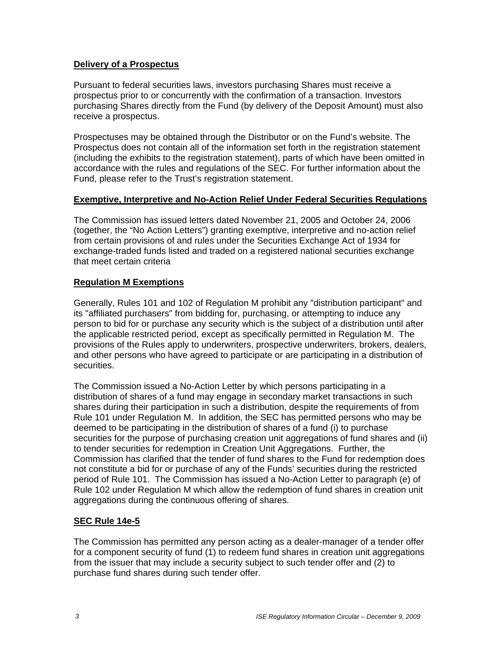## **Delivery of a Prospectus**

Pursuant to federal securities laws, investors purchasing Shares must receive a prospectus prior to or concurrently with the confirmation of a transaction. Investors purchasing Shares directly from the Fund (by delivery of the Deposit Amount) must also receive a prospectus.

Prospectuses may be obtained through the Distributor or on the Fund's website. The Prospectus does not contain all of the information set forth in the registration statement (including the exhibits to the registration statement), parts of which have been omitted in accordance with the rules and regulations of the SEC. For further information about the Fund, please refer to the Trust's registration statement.

#### **Exemptive, Interpretive and No-Action Relief Under Federal Securities Regulations**

The Commission has issued letters dated November 21, 2005 and October 24, 2006 (together, the "No Action Letters") granting exemptive, interpretive and no-action relief from certain provisions of and rules under the Securities Exchange Act of 1934 for exchange-traded funds listed and traded on a registered national securities exchange that meet certain criteria

## **Regulation M Exemptions**

Generally, Rules 101 and 102 of Regulation M prohibit any "distribution participant" and its "affiliated purchasers" from bidding for, purchasing, or attempting to induce any person to bid for or purchase any security which is the subject of a distribution until after the applicable restricted period, except as specifically permitted in Regulation M. The provisions of the Rules apply to underwriters, prospective underwriters, brokers, dealers, and other persons who have agreed to participate or are participating in a distribution of securities.

The Commission issued a No-Action Letter by which persons participating in a distribution of shares of a fund may engage in secondary market transactions in such shares during their participation in such a distribution, despite the requirements of from Rule 101 under Regulation M. In addition, the SEC has permitted persons who may be deemed to be participating in the distribution of shares of a fund (i) to purchase securities for the purpose of purchasing creation unit aggregations of fund shares and (ii) to tender securities for redemption in Creation Unit Aggregations. Further, the Commission has clarified that the tender of fund shares to the Fund for redemption does not constitute a bid for or purchase of any of the Funds' securities during the restricted period of Rule 101. The Commission has issued a No-Action Letter to paragraph (e) of Rule 102 under Regulation M which allow the redemption of fund shares in creation unit aggregations during the continuous offering of shares.

## **SEC Rule 14e-5**

The Commission has permitted any person acting as a dealer-manager of a tender offer for a component security of fund (1) to redeem fund shares in creation unit aggregations from the issuer that may include a security subject to such tender offer and (2) to purchase fund shares during such tender offer.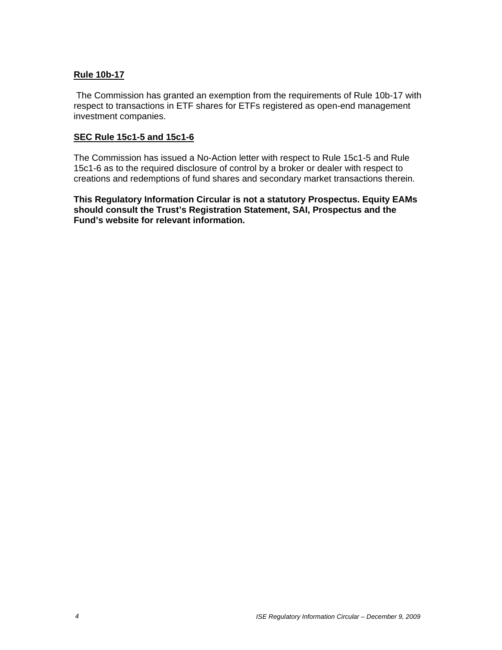### **Rule 10b-17**

 The Commission has granted an exemption from the requirements of Rule 10b-17 with respect to transactions in ETF shares for ETFs registered as open-end management investment companies.

#### **SEC Rule 15c1-5 and 15c1-6**

The Commission has issued a No-Action letter with respect to Rule 15c1-5 and Rule 15c1-6 as to the required disclosure of control by a broker or dealer with respect to creations and redemptions of fund shares and secondary market transactions therein.

**This Regulatory Information Circular is not a statutory Prospectus. Equity EAMs should consult the Trust's Registration Statement, SAI, Prospectus and the Fund's website for relevant information.**